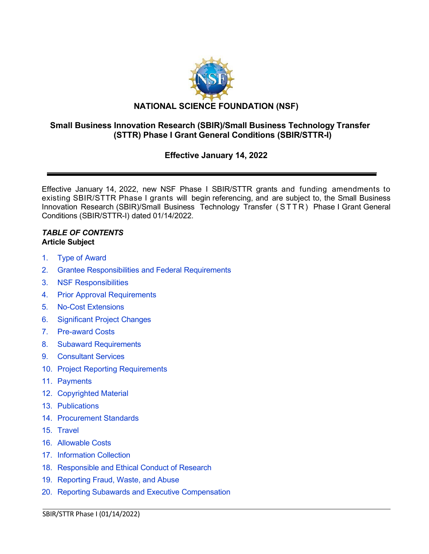

# **Small Business Innovation Research (SBIR)/Small Business Technology Transfer (STTR) Phase I Grant General Conditions (SBIR/STTR-I)**

# **Effective January 14, 2022**

Effective January 14, 2022, new NSF Phase I SBIR/STTR grants and funding amendments to existing SBIR/STTR Phase I grants will begin referencing, and are subject to, the Small Business Innovation Research (SBIR)/Small Business Technology Transfer (STTR ) Phase I Grant General Conditions (SBIR/STTR-I) dated 01/14/2022.

### *TABLE OF CONTENTS* **Article Subject**

- 1. Type of [Award](#page-2-0)
- 2. [Grantee Responsibilities](#page-2-1) and Federal Requirements
- 3. [NSF Responsibilities](#page-3-0)
- 4. Prior Approval [Requirements](#page-3-1)
- 5. [No-Cost Extensions](#page-4-0)
- 6. [Significant](#page-4-1) Project Changes
- 7. [Pre-award](#page-5-0) Costs
- 8. [Subaward Requirements](#page-5-1)
- 9. [Consultant](#page-5-2) Services
- 10. Project [Reporting Requirements](#page-6-0)
- 11. [Payments](#page-6-1)
- 12. [Copyrighted](#page-7-0) Material
- 13. [Publications](#page-8-0)
- 14. [Procurement Standards](#page-8-1)
- 15. [Travel](#page-8-2)
- 16. [Allowable Costs](#page-9-0)
- 17. [Information Collection](#page-10-0)
- 18. [Responsible and Ethical Conduct of Research](#page-10-1)
- 19. [Reporting Fraud, Waste, and Abuse](#page-10-2)
- 20. Reporting Subawards [and Executive Compensation](#page-11-0)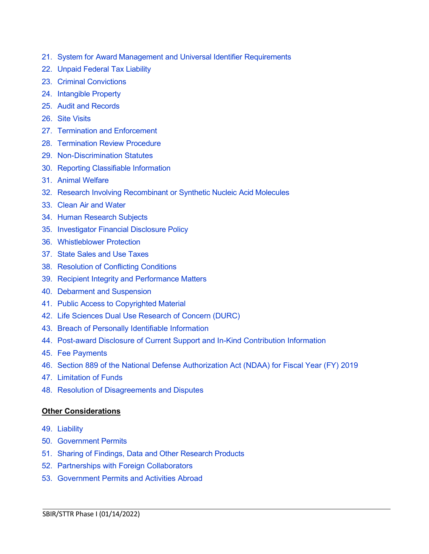- 21. System for Award Management and Universal Identifier [Requirements](#page-14-0)
- 22. [Unpaid Federal](#page-15-0) Tax Liability
- 23. Criminal [Convictions](#page-15-1)
- 24. [Intangible Property](#page-16-0)
- 25. Audit [and Records](#page-21-0)
- 26. Site [Visits](#page-21-1)
- 27. [Termination and Enforcement](#page-21-2)
- 28. [Termination Review](#page-22-0) Procedure
- 29. [Non-Discrimination Statutes](#page-22-1)
- 30. [Reporting Classifiable](#page-23-0) Information
- 31. Animal [Welfare](#page-23-1)
- 32. [Research Involving Recombinant](#page-24-0) or Synthetic Nucleic Acid Molecules
- 33. Clean Air [and Water](#page-24-1)
- 34. Human [Research](#page-24-2) Subjects
- 35. [Investigator](#page-24-3) Financial Disclosure Policy
- 36. [Whistleblower](#page-24-4) Protection
- 37. [State Sales and Use Taxes](#page-24-5)
- 38. [Resolution of](#page-25-0) Conflicting Conditions
- 39. [Recipient Integrity](#page-25-1) and Performance Matters
- 40. Debarment [and Suspension](#page-25-2)
- 41. Public Access [to Copyrighted](#page-25-3) Material
- 42. Life Sciences Dual Use [Research](#page-26-0) of Concern (DURC)
- 43. [Breach of Personally Identifiable Information](#page-26-1)
- 44. [Post-award Disclosure of Current Support and In-Kind Contribution Information](#page-26-2)
- 45. [Fee Payments](#page-27-0)
- 46. [Section 889 of the National Defense Authorization Act \(NDAA\) for Fiscal Year \(FY\) 2019](#page-27-1)

- 47. [Limitation of Funds](#page-28-0)
- 48. [Resolution of Disagreements and Disputes](#page-29-0)

### **Other Considerations**

- 49. [Liability](#page-29-1)
- 50. [Government](#page-29-2) Permits
- 51. Sharing of Findings, Data and Other [Research](#page-29-3) Products
- 52. [Partnerships with Foreign Collaborators](#page-29-4)
- 53. [Government Permits and Activities Abroad](#page-30-0)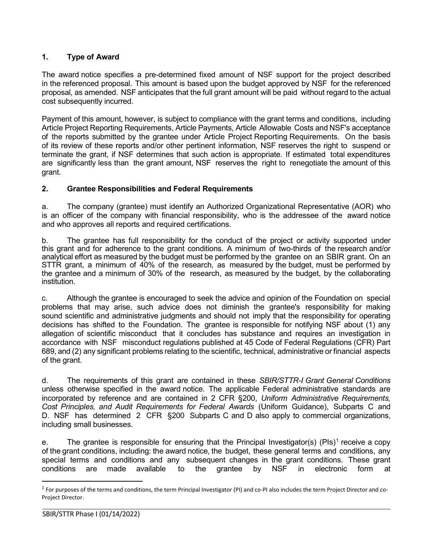# <span id="page-2-0"></span>**1. Type of Award**

The award notice specifies a pre-determined fixed amount of NSF support for the project described in the referenced proposal. This amount is based upon the budget approved by NSF for the referenced proposal, as amended. NSF anticipates that the full grant amount will be paid without regard to the actual cost subsequently incurred.

Payment of this amount, however, is subject to compliance with the grant terms and conditions, including Article Project Reporting Requirements, Article Payments, Article Allowable Costs and NSF's acceptance of the reports submitted by the grantee under Article Project Reporting Requirements. On the basis of its review of these reports and/or other pertinent information, NSF reserves the right to suspend or terminate the grant, if NSF determines that such action is appropriate. If estimated total expenditures are significantly less than the grant amount, NSF reserves the right to renegotiate the amount of this grant.

### <span id="page-2-1"></span>**2. Grantee Responsibilities and Federal Requirements**

a. The company (grantee) must identify an Authorized Organizational Representative (AOR) who is an officer of the company with financial responsibility, who is the addressee of the award notice and who approves all reports and required certifications.

b. The grantee has full responsibility for the conduct of the project or activity supported under this grant and for adherence to the grant conditions. A minimum of two-thirds of the research and/or analytical effort as measured by the budget must be performed by the grantee on an SBIR grant. On an STTR grant, a minimum of 40% of the research, as measured by the budget, must be performed by the grantee and a minimum of 30% of the research, as measured by the budget, by the collaborating institution.

c. Although the grantee is encouraged to seek the advice and opinion of the Foundation on special problems that may arise, such advice does not diminish the grantee's responsibility for making sound scientific and administrative judgments and should not imply that the responsibility for operating decisions has shifted to the Foundation. The grantee is responsible for notifying NSF about (1) any allegation of scientific misconduct that it concludes has substance and requires an investigation in accordance with NSF misconduct regulations published at 45 Code of Federal Regulations (CFR) Part 689, and (2) any significant problems relating to the scientific, technical, administrative or financial aspects of the grant.

d. The requirements of this grant are contained in these *SBIR/STTR-I Grant General Conditions* unless otherwise specified in the award notice. The applicable Federal administrative standards are incorporated by reference and are contained in 2 CFR [§200,](http://www.ecfr.gov/cgi-bin/text-idx?SID=704835d27377ef5213a51c149de40cab&amp%3Bnode=2%3A1.1.2.2.1&amp%3Brgn=div5) *Uniform Administrative Requirements, Cost Principles, and Audit Requirements for Federal Awards* (Uniform Guidance), Subparts C and D. NSF has determined 2 CFR §200 Subparts C and D also apply to commercial organizations, including small businesses.

e. The grantee is responsible for ensuring that the Principal Investigator(s) (PIs)<sup>[1](#page-2-2)</sup> receive a copy of the grant conditions, including: the award notice, the budget, these general terms and conditions, any special terms and conditions and any subsequent changes in the grant conditions. These grant conditions are made available to the grantee by NSF in electronic form at conditions are made available to the grantee by NSF in electronic form at

<span id="page-2-2"></span> $1$  For purposes of the terms and conditions, the term Principal Investigator (PI) and co-PI also includes the term Project Director and co-Project Director.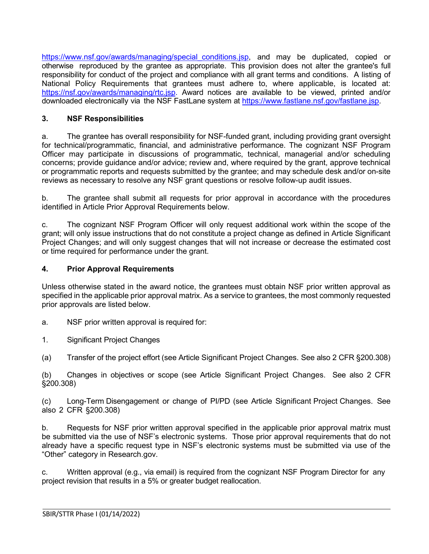https://www.nsf.gov/awards/managing/special conditions.jsp, and may be duplicated, copied or otherwise reproduced by the grantee as appropriate. This provision does not alter the grantee's full responsibility for conduct of the project and compliance with all grant terms and conditions. A listing of National Policy Requirements that grantees must adhere to, where applicable, is located at: [https://nsf.gov/awards/managing/rtc.jsp.](https://nsf.gov/awards/managing/rtc.jsp) Award notices are available to be viewed, printed and/or downloaded electronically via the NSF FastLane system at [https://www.fastlane.nsf.gov/fastlane.jsp.](https://www.fastlane.nsf.gov/fastlane.jsp)

### <span id="page-3-0"></span>**3. NSF Responsibilities**

a. The grantee has overall responsibility for NSF-funded grant, including providing grant oversight for technical/programmatic, financial, and administrative performance. The cognizant NSF Program Officer may participate in discussions of programmatic, technical, managerial and/or scheduling concerns; provide guidance and/or advice; review and, where required by the grant, approve technical or programmatic reports and requests submitted by the grantee; and may schedule desk and/or on-site reviews as necessary to resolve any NSF grant questions or resolve follow-up audit issues.

b. The grantee shall submit all requests for prior approval in accordance with the procedures identified in Article Prior Approval Requirements below.

c. The cognizant NSF Program Officer will only request additional work within the scope of the grant; will only issue instructions that do not constitute a project change as defined in Article Significant Project Changes; and will only suggest changes that will not increase or decrease the estimated cost or time required for performance under the grant.

### <span id="page-3-1"></span>**4. Prior Approval Requirements**

Unless otherwise stated in the award notice, the grantees must obtain NSF prior written approval as specified in the applicable prior approval matrix. As a service to grantees, the most commonly requested prior approvals are listed below.

- a. NSF prior written approval is required for:
- 1. Significant Project Changes
- (a) Transfer of the project effort (see Article Significant Project Changes. See also 2 CFR §200.308)

(b) Changes in objectives or scope (see Article Significant Project Changes. See also 2 CFR §200.308)

(c) Long-Term Disengagement or change of PI/PD (see Article Significant Project Changes. See also 2 CFR §200.308)

b. Requests for NSF prior written approval specified in the applicable prior approval matrix must be submitted via the use of NSF's electronic systems. Those prior approval requirements that do not already have a specific request type in NSF's electronic systems must be submitted via use of the "Other" category in Research.gov.

c. Written approval (e.g., via email) is required from the cognizant NSF Program Director for any project revision that results in a 5% or greater budget reallocation.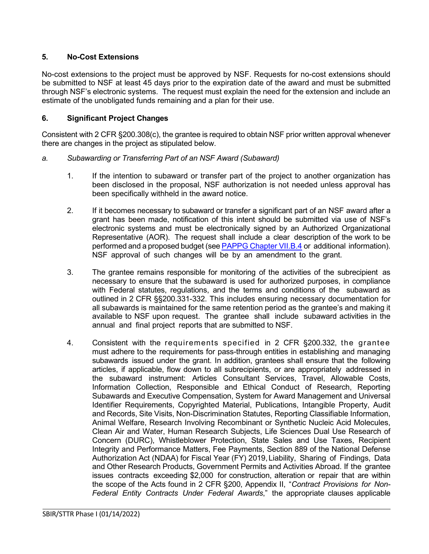# <span id="page-4-0"></span>**5. No-Cost Extensions**

No-cost extensions to the project must be approved by NSF. Requests for no-cost extensions should be submitted to NSF at least 45 days prior to the expiration date of the award and must be submitted through NSF's electronic systems. The request must explain the need for the extension and include an estimate of the unobligated funds remaining and a plan for their use.

### <span id="page-4-1"></span>**6. Significant Project Changes**

Consistent with 2 CFR §200.308(c), the grantee is required to obtain NSF prior written approval whenever there are changes in the project as stipulated below.

### *a. Subawarding or Transferring Part of an NSF Award (Subaward)*

- 1. If the intention to subaward or transfer part of the project to another organization has been disclosed in the proposal, NSF authorization is not needed unless approval has been specifically withheld in the award notice.
- 2. If it becomes necessary to subaward or transfer a significant part of an NSF award after a grant has been made, notification of this intent should be submitted via use of NSF's electronic systems and must be electronically signed by an Authorized Organizational Representative (AOR). The request shall include a clear description of the work to be performed and a proposed budget (see [PAPPG Chapter VII.B.4](https://www.nsf.gov/pubs/policydocs/pappg22_1/pappg_7.jsp#VIIB4) or additional information). NSF approval of such changes will be by an amendment to the grant.
- 3. The grantee remains responsible for monitoring of the activities of the subrecipient as necessary to ensure that the subaward is used for authorized purposes, in compliance with Federal statutes, regulations, and the terms and conditions of the subaward as outlined in 2 CFR §§200.331-332. This includes ensuring necessary documentation for all subawards is maintained for the same retention period as the grantee's and making it available to NSF upon request. The grantee shall include subaward activities in the annual and final project reports that are submitted to NSF.
- 4. Consistent with the requirements specified in 2 CFR §200.332, the grantee must adhere to the requirements for pass-through entities in establishing and managing subawards issued under the grant. In addition, grantees shall ensure that the following articles, if applicable, flow down to all subrecipients, or are appropriately addressed in the subaward instrument: Articles Consultant Services, Travel, Allowable Costs, Information Collection, Responsible and Ethical Conduct of Research, Reporting Subawards and Executive Compensation, System for Award Management and Universal Identifier Requirements, Copyrighted Material, Publications, Intangible Property, Audit and Records, Site Visits, Non-Discrimination Statutes, Reporting Classifiable Information, Animal Welfare, Research Involving Recombinant or Synthetic Nucleic Acid Molecules, Clean Air and Water, Human Research Subjects, Life Sciences Dual Use Research of Concern (DURC), Whistleblower Protection, State Sales and Use Taxes, Recipient Integrity and Performance Matters, Fee Payments, Section 889 of the National Defense Authorization Act (NDAA) for Fiscal Year (FY) 2019,Liability, Sharing of Findings, Data and Other Research Products, Government Permits and Activities Abroad. If the grantee issues contracts exceeding \$2,000 for construction, alteration or repair that are within the scope of the Acts found in 2 CFR §200, [Appendix](http://www.access.gpo.gov/nara/cfr/waisidx_07/2cfr215_07.html) II, "*[Contract](http://www.access.gpo.gov/nara/cfr/waisidx_07/2cfr215_07.html) [Provisions](http://www.access.gpo.gov/nara/cfr/waisidx_07/2cfr215_07.html) for Non-Federal Entity Contracts Under Federal Awards*," the appropriate clauses applicable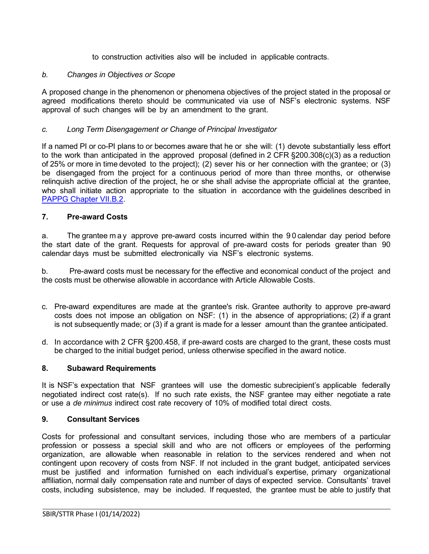to construction activities also will be included in applicable contracts.

### *b. Changes in Objectives or Scope*

A proposed change in the phenomenon or phenomena objectives of the project stated in the proposal or agreed modifications thereto should be communicated via use of NSF's electronic systems. NSF approval of such changes will be by an amendment to the grant.

### *c. Long Term Disengagement or Change of Principal Investigator*

If a named PI or co-PI plans to or becomes aware that he or she will: (1) devote substantially less effort to the work than anticipated in the approved proposal (defined in 2 CFR §200.308(c)(3) as a reduction of 25% or more in time devoted to the project); (2) sever his or her connection with the grantee; or (3) be disengaged from the project for a continuous period of more than three months, or otherwise relinquish active direction of the project, he or she shall advise the appropriate official at the grantee, who shall initiate action appropriate to the situation in accordance with the guidelines described in [PAPPG Chapter VII.B.2.](https://www.nsf.gov/pubs/policydocs/pappg22_1/pappg_7.jsp#VIIB2)

### <span id="page-5-0"></span>**7. Pre-award Costs**

a. The grantee may approve pre-award costs incurred within the 9 0 calendar day period before the start date of the grant. Requests for approval of pre-award costs for periods greater than 90 calendar days must be submitted electronically via NSF's electronic systems.

b. Pre-award costs must be necessary for the effective and economical conduct of the project and the costs must be otherwise allowable in accordance with Article Allowable Costs.

- c. Pre-award expenditures are made at the grantee's risk. Grantee authority to approve pre-award costs does not impose an obligation on NSF: (1) in the absence of appropriations; (2) if a grant is not subsequently made; or (3) if a grant is made for a lesser amount than the grantee anticipated.
- d. In accordance with 2 CFR §200.458, if pre-award costs are charged to the grant, these costs must be charged to the initial budget period, unless otherwise specified in the award notice.

### <span id="page-5-1"></span>**8. Subaward Requirements**

It is NSF's expectation that NSF grantees will use the domestic subrecipient's applicable federally negotiated indirect cost rate(s). If no such rate exists, the NSF grantee may either negotiate a rate or use a *de minimus* indirect cost rate recovery of 10% of modified total direct costs.

### <span id="page-5-2"></span>**9. Consultant Services**

Costs for professional and consultant services, including those who are members of a particular profession or possess a special skill and who are not officers or employees of the performing organization, are allowable when reasonable in relation to the services rendered and when not contingent upon recovery of costs from NSF. If not included in the grant budget, anticipated services must be justified and information furnished on each individual's expertise, primary organizational affiliation, normal daily compensation rate and number of days of expected service. Consultants' travel costs, including subsistence, may be included. If requested, the grantee must be able to justify that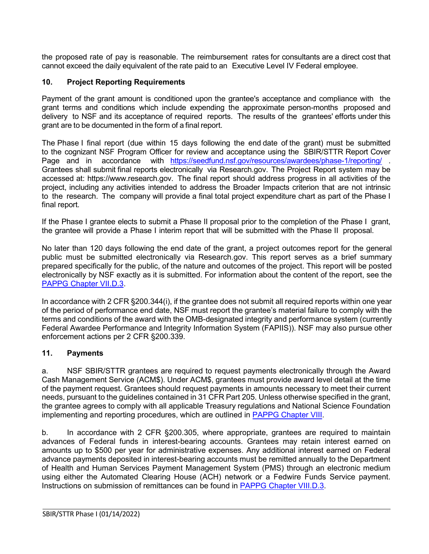the proposed rate of pay is reasonable. The reimbursement rates for consultants are a direct cost that cannot exceed the daily equivalent of the rate paid to an Executive Level IV Federal employee.

# <span id="page-6-0"></span>**10. Project Reporting Requirements**

Payment of the grant amount is conditioned upon the grantee's acceptance and compliance with the grant terms and conditions which include expending the approximate person-months proposed and delivery to NSF and its acceptance of required reports. The results of the grantees' efforts under this grant are to be documented in the form of a final report.

The Phase I final report (due within 15 days following the end date of the grant) must be submitted to the cognizant NSF Program Officer for review and acceptance using the SBIR/STTR Report Cover Page and in accordance with <https://seedfund.nsf.gov/resources/awardees/phase-1/reporting/> . Grantees shall submit final reports electronically via [Research.gov.](http://www.research.gov/) The Project Report system may be accessed at: https://www.research.gov. The final report should address progress in all activities of the project, including any activities intended to address the Broader Impacts criterion that are not intrinsic to the research. The company will provide a final total project expenditure chart as part of the Phase I final report.

If the Phase I grantee elects to submit a Phase II proposal prior to the completion of the Phase I grant, the grantee will provide a Phase I interim report that will be submitted with the Phase II proposal.

No later than 120 days following the end date of the grant, a project outcomes report for the general public must be submitted electronically via Research.gov. This report serves as a brief summary prepared specifically for the public, of the nature and outcomes of the project. This report will be posted electronically by NSF exactly as it is submitted. For information about the content of the report, see the [PAPPG Chapter VII.D.3.](https://www.nsf.gov/pubs/policydocs/pappg22_1/pappg_7.jsp#VIID3)

In accordance with 2 CFR §200.344(i), if the grantee does not submit all required reports within one year of the period of performance end date, NSF must report the grantee's material failure to comply with the terms and conditions of the award with the OMB-designated integrity and performance system (currently Federal Awardee Performance and Integrity Information System (FAPIIS)). NSF may also pursue other enforcement actions per 2 CFR §200.339.

## <span id="page-6-1"></span>**11. Payments**

a. NSF SBIR/STTR grantees are required to request payments electronically through the Award Cash Management Service (ACM\$). Under ACM\$, grantees must provide award level detail at the time of the payment request. Grantees should request payments in amounts necessary to meet their current needs, pursuant to the guidelines contained in 31 CFR Part 205. Unless otherwise specified in the grant, the grantee agrees to comply with all applicable Treasury regulations and National Science Foundation implementing and reporting procedures, which are outlined in [PAPPG Chapter VIII.](https://www.nsf.gov/pubs/policydocs/pappg22_1/pappg_8.jsp)

b. In accordance with 2 CFR §200.305, where appropriate, grantees are required to maintain advances of Federal funds in interest-bearing accounts. Grantees may retain interest earned on amounts up to \$500 per year for administrative expenses. Any additional interest earned on Federal advance payments deposited in interest-bearing accounts must be remitted annually to the Department of Health and Human Services Payment Management System (PMS) through an electronic medium using either the Automated Clearing House (ACH) network or a Fedwire Funds Service payment. Instructions on submission of remittances can be found in [PAPPG Chapter VIII.D.3.](https://www.nsf.gov/pubs/policydocs/pappg22_1/pappg_8.jsp#VIIID3)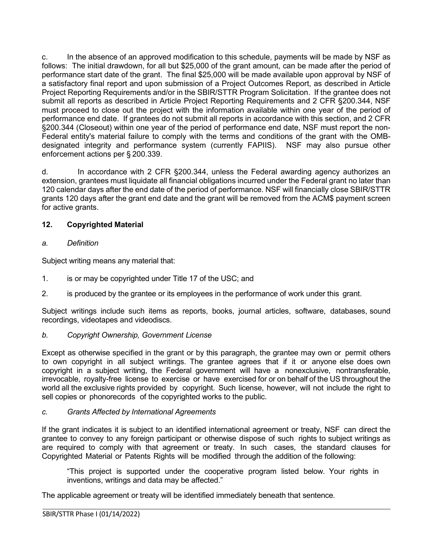c. In the absence of an approved modification to this schedule, payments will be made by NSF as follows: The initial drawdown, for all but \$25,000 of the grant amount, can be made after the period of performance start date of the grant. The final \$25,000 will be made available upon approval by NSF of a satisfactory final report and upon submission of a Project Outcomes Report, as described in Article Project Reporting Requirements and/or in the SBIR/STTR Program Solicitation. If the grantee does not submit all reports as described in Article Project Reporting Requirements and 2 CFR §200.344, NSF must proceed to close out the project with the information available within one year of the period of performance end date. If grantees do not submit all reports in accordance with this section, and 2 CFR §200.344 (Closeout) within one year of the period of performance end date, NSF must report the non-Federal entity's material failure to comply with the terms and conditions of the grant with the OMBdesignated integrity and performance system (currently FAPIIS). NSF may also pursue other enforcement actions per § 200.339.

d. In accordance with 2 CFR §200.344, unless the Federal awarding agency authorizes an extension, grantees must liquidate all financial obligations incurred under the Federal grant no later than 120 calendar days after the end date of the period of performance. NSF will financially close SBIR/STTR grants 120 days after the grant end date and the grant will be removed from the ACM\$ payment screen for active grants.

# <span id="page-7-0"></span>**12. Copyrighted Material**

## *a. Definition*

Subject writing means any material that:

- 1. is or may be copyrighted under [Title 17](http://www.access.gpo.gov/uscode/title17/title17.html) of the USC; and
- 2. is produced by the grantee or its employees in the performance of work under this grant.

Subject writings include such items as reports, books, journal articles, software, databases, sound recordings, videotapes and videodiscs.

*b. Copyright Ownership, Government License*

Except as otherwise specified in the grant or by this paragraph, the grantee may own or permit others to own copyright in all subject writings. The grantee agrees that if it or anyone else does own copyright in a subject writing, the Federal government will have a nonexclusive, nontransferable, irrevocable, royalty-free license to exercise or have exercised for or on behalf of the US throughout the world all the exclusive rights provided by copyright. Such license, however, will not include the right to sell copies or phonorecords of the copyrighted works to the public.

## *c. Grants Affected by International Agreements*

If the grant indicates it is subject to an identified international agreement or treaty, NSF can direct the grantee to convey to any foreign participant or otherwise dispose of such rights to subject writings as are required to comply with that agreement or treaty. In such cases, the standard clauses for Copyrighted Material or Patents Rights will be modified through the addition of the following:

"This project is supported under the cooperative program listed below. Your rights in inventions, writings and data may be affected."

The applicable agreement or treaty will be identified immediately beneath that sentence.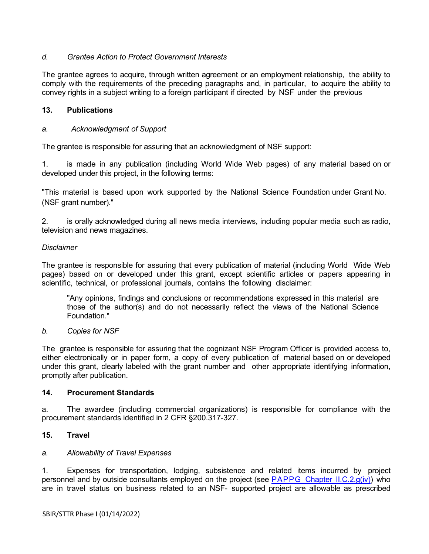## *d. Grantee Action to Protect Government Interests*

The grantee agrees to acquire, through written agreement or an employment relationship, the ability to comply with the requirements of the preceding paragraphs and, in particular, to acquire the ability to convey rights in a subject writing to a foreign participant if directed by NSF under the previous

# <span id="page-8-0"></span>**13. Publications**

# *a. Acknowledgment of Support*

The grantee is responsible for assuring that an acknowledgment of NSF support:

1. is made in any publication (including World Wide Web pages) of any material based on or developed under this project, in the following terms:

"This material is based upon work supported by the National Science Foundation under Grant No. (NSF grant number)."

2. is orally acknowledged during all news media interviews, including popular media such as radio, television and news magazines.

## *Disclaimer*

The grantee is responsible for assuring that every publication of material (including World Wide Web pages) based on or developed under this grant, except scientific articles or papers appearing in scientific, technical, or professional journals, contains the following disclaimer:

"Any opinions, findings and conclusions or recommendations expressed in this material are those of the author(s) and do not necessarily reflect the views of the National Science Foundation."

## *b. Copies for NSF*

The grantee is responsible for assuring that the cognizant NSF Program Officer is provided access to, either electronically or in paper form, a copy of every publication of material based on or developed under this grant, clearly labeled with the grant number and other appropriate identifying information, promptly after publication.

### <span id="page-8-1"></span>**14. Procurement Standards**

a. The awardee (including commercial organizations) is responsible for compliance with the procurement standards identified in 2 CFR §200.317-327.

## <span id="page-8-2"></span>**15. Travel**

### *a. Allowability of Travel Expenses*

1. Expenses for transportation, lodging, subsistence and related items incurred by project personnel and by outside consultants employed on the project (see PAPPG Chapter [II.C.2.g\(iv\)\)](https://www.nsf.gov/pubs/policydocs/pappg22_1/pappg_2.jsp#IIC2giv) who are in travel status on business related to an NSF- supported project are allowable as prescribed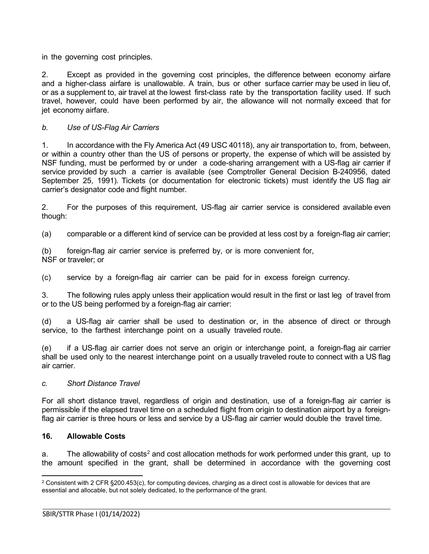in the governing cost principles.

2. Except as provided in the governing cost principles, the difference between economy airfare and a higher-class airfare is unallowable. A train, bus or other surface carrier may be used in lieu of, or as a supplement to, air travel at the lowest first-class rate by the transportation facility used. If such travel, however, could have been performed by air, the allowance will not normally exceed that for jet economy airfare.

### *b. Use of US-Flag Air Carriers*

1. In accordance with the Fly America Act (49 USC 40118), any air transportation to, from, between, or within a country other than the US of persons or property, the expense of which will be assisted by NSF funding, must be performed by or under a code-sharing arrangement with a US-flag air carrier if service provided by such a carrier is available (see Comptroller General Decision B-240956, dated September 25, 1991). Tickets (or documentation for electronic tickets) must identify the US flag air carrier's designator code and flight number.

2. For the purposes of this requirement, US-flag air carrier service is considered available even though:

(a) comparable or a different kind of service can be provided at less cost by a foreign-flag air carrier;

(b) foreign-flag air carrier service is preferred by, or is more convenient for, NSF or traveler; or

(c) service by a foreign-flag air carrier can be paid for in excess foreign currency.

3. The following rules apply unless their application would result in the first or last leg of travel from or to the US being performed by a foreign-flag air carrier:

(d) a US-flag air carrier shall be used to destination or, in the absence of direct or through service, to the farthest interchange point on a usually traveled route.

(e) if a US-flag air carrier does not serve an origin or interchange point, a foreign-flag air carrier shall be used only to the nearest interchange point on a usually traveled route to connect with a US flag air carrier.

### *c. Short Distance Travel*

For all short distance travel, regardless of origin and destination, use of a foreign-flag air carrier is permissible if the elapsed travel time on a scheduled flight from origin to destination airport by a foreignflag air carrier is three hours or less and service by a US-flag air carrier would double the travel time.

### <span id="page-9-0"></span>**16. Allowable Costs**

a. The allowability of costs<sup>[2](#page-9-1)</sup> and cost allocation methods for work performed under this grant, up to the amount specified in the grant, shall be determined in accordance with the governing cost

<span id="page-9-1"></span> $2$  Consistent with 2 CFR §200.453(c), for computing devices, charging as a direct cost is allowable for devices that are essential and allocable, but not solely dedicated, to the performance of the grant.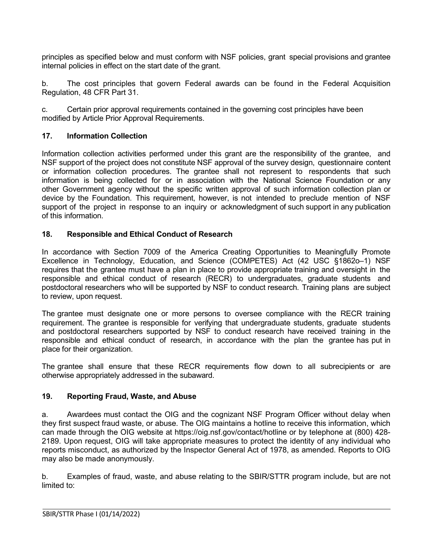principles as specified below and must conform with NSF policies, grant special provisions and grantee internal policies in effect on the start date of the grant.

b. The cost principles that govern Federal awards can be found in the Federal Acquisition Regulation, 48 CFR Part 31.

c. Certain prior approval requirements contained in the governing cost principles have been modified by Article Prior Approval Requirements.

## <span id="page-10-0"></span>**17. Information Collection**

Information collection activities performed under this grant are the responsibility of the grantee, and NSF support of the project does not constitute NSF approval of the survey design, questionnaire content or information collection procedures. The grantee shall not represent to respondents that such information is being collected for or in association with the National Science Foundation or any other Government agency without the specific written approval of such information collection plan or device by the Foundation. This requirement, however, is not intended to preclude mention of NSF support of the project in response to an inquiry or acknowledgment of such support in any publication of this information.

### <span id="page-10-1"></span>**18. Responsible and Ethical Conduct of Research**

In accordance with Section 7009 of the America Creating Opportunities to Meaningfully Promote Excellence in Technology, Education, and Science (COMPETES) Act (42 USC §1862o–1) NSF requires that the grantee must have a plan in place to provide appropriate training and oversight in the responsible and ethical conduct of research (RECR) to undergraduates, graduate students and postdoctoral researchers who will be supported by NSF to conduct research. Training plans are subject to review, upon request.

The grantee must designate one or more persons to oversee compliance with the RECR training requirement. The grantee is responsible for verifying that undergraduate students, graduate students and postdoctoral researchers supported by NSF to conduct research have received training in the responsible and ethical conduct of research, in accordance with the plan the grantee has put in place for their organization.

The grantee shall ensure that these RECR requirements flow down to all subrecipients or are otherwise appropriately addressed in the subaward.

### <span id="page-10-2"></span>**19. Reporting Fraud, Waste, and Abuse**

a. Awardees must contact the OIG and the cognizant NSF Program Officer without delay when they first suspect fraud waste, or abuse. The OIG maintains a hotline to receive this information, which can made through the OIG website at https://oig.nsf.gov/contact/hotline or by telephone at (800) 428- 2189. Upon request, OIG will take appropriate measures to protect the identity of any individual who reports misconduct, as authorized by the Inspector General Act of 1978, as amended. Reports to OIG may also be made anonymously.

b. Examples of fraud, waste, and abuse relating to the SBIR/STTR program include, but are not limited to: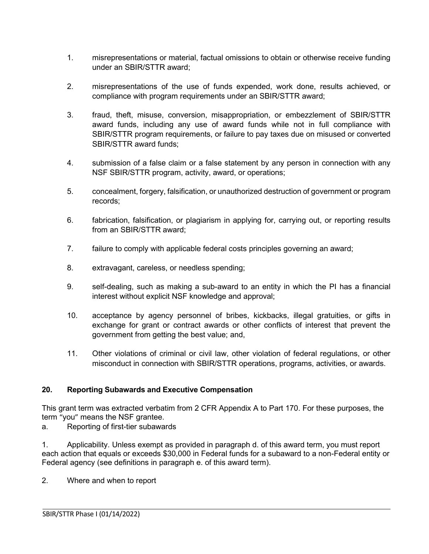- 1. misrepresentations or material, factual omissions to obtain or otherwise receive funding under an SBIR/STTR award;
- 2. misrepresentations of the use of funds expended, work done, results achieved, or compliance with program requirements under an SBIR/STTR award;
- 3. fraud, theft, misuse, conversion, misappropriation, or embezzlement of SBIR/STTR award funds, including any use of award funds while not in full compliance with SBIR/STTR program requirements, or failure to pay taxes due on misused or converted SBIR/STTR award funds;
- 4. submission of a false claim or a false statement by any person in connection with any NSF SBIR/STTR program, activity, award, or operations;
- 5. concealment, forgery, falsification, or unauthorized destruction of government or program records;
- 6. fabrication, falsification, or plagiarism in applying for, carrying out, or reporting results from an SBIR/STTR award;
- 7. failure to comply with applicable federal costs principles governing an award;
- 8. extravagant, careless, or needless spending;
- 9. self-dealing, such as making a sub-award to an entity in which the PI has a financial interest without explicit NSF knowledge and approval;
- 10. acceptance by agency personnel of bribes, kickbacks, illegal gratuities, or gifts in exchange for grant or contract awards or other conflicts of interest that prevent the government from getting the best value; and,
- 11. Other violations of criminal or civil law, other violation of federal regulations, or other misconduct in connection with SBIR/STTR operations, programs, activities, or awards.

## <span id="page-11-0"></span>**20. Reporting Subawards and Executive Compensation**

This grant term was extracted verbatim from 2 CFR Appendix A to Part 170. For these purposes, the term "you" means the NSF grantee.

a. Reporting of first-tier subawards

1. Applicability. Unless exempt as provided in paragraph d. of this award term, you must report each action that equals or exceeds \$30,000 in Federal funds for a subaward to a non-Federal entity or Federal agency (see definitions in paragraph e. of this award term).

2. Where and when to report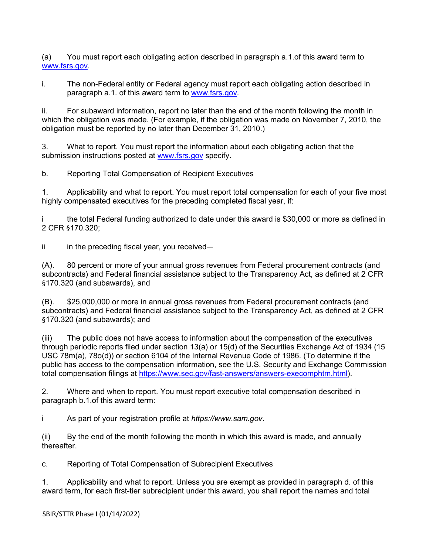(a) You must report each obligating action described in paragraph a.1.of this award term to [www.fsrs.gov.](http://www.fsrs.gov/)

i. The non-Federal entity or Federal agency must report each obligating action described in paragraph a.1. of this award term to [www.fsrs.gov.](https://nsf-my.sharepoint.com/personal/7632436149_nsf_gov/Documents/Microsoft%20Teams%20Chat%20Files/www.fsrs.gov)

ii. For subaward information, report no later than the end of the month following the month in which the obligation was made. (For example, if the obligation was made on November 7, 2010, the obligation must be reported by no later than December 31, 2010.)

3. What to report. You must report the information about each obligating action that the submission instructions posted at [www.fsrs.gov](http://www.fsrs.gov/) specify.

b. Reporting Total Compensation of Recipient Executives

1. Applicability and what to report. You must report total compensation for each of your five most highly compensated executives for the preceding completed fiscal year, if:

i the total Federal funding authorized to date under this award is \$30,000 or more as defined in 2 CFR §170.320;

 $ii$  in the preceding fiscal year, you received—

(A). 80 percent or more of your annual gross revenues from Federal procurement contracts (and subcontracts) and Federal financial assistance subject to the Transparency Act, as defined at 2 CFR §170.320 (and subawards), and

(B). \$25,000,000 or more in annual gross revenues from Federal procurement contracts (and subcontracts) and Federal financial assistance subject to the Transparency Act, as defined at 2 CFR §170.320 (and subawards); and

(iii) The public does not have access to information about the compensation of the executives through periodic reports filed under section 13(a) or 15(d) of the Securities Exchange Act of 1934 (15 USC 78m(a), 78o(d)) or section 6104 of the Internal Revenue Code of 1986. (To determine if the public has access to the compensation information, see the U.S. Security and Exchange Commission total compensation filings at [https://www.sec.gov/fast-answers/answers-execomphtm.html\)](https://www.sec.gov/fast-answers/answers-execomphtm.html).

2. Where and when to report. You must report executive total compensation described in paragraph b.1.of this award term:

i As part of your registration profile at *https://www.sam.gov*.

(ii) By the end of the month following the month in which this award is made, and annually thereafter.

c. Reporting of Total Compensation of Subrecipient Executives

1. Applicability and what to report. Unless you are exempt as provided in paragraph d. of this award term, for each first-tier subrecipient under this award, you shall report the names and total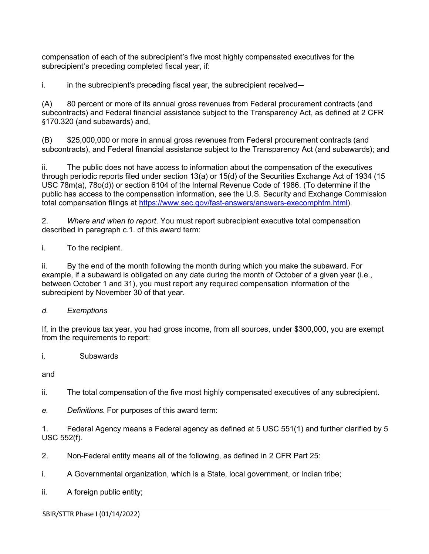compensation of each of the subrecipient's five most highly compensated executives for the subrecipient's preceding completed fiscal year, if:

i. in the subrecipient's preceding fiscal year, the subrecipient received—

(A) 80 percent or more of its annual gross revenues from Federal procurement contracts (and subcontracts) and Federal financial assistance subject to the Transparency Act, as defined at 2 CFR §170.320 (and subawards) and,

(B) \$25,000,000 or more in annual gross revenues from Federal procurement contracts (and subcontracts), and Federal financial assistance subject to the Transparency Act (and subawards); and

ii. The public does not have access to information about the compensation of the executives through periodic reports filed under section 13(a) or 15(d) of the Securities Exchange Act of 1934 (15 USC 78m(a), 78o(d)) or section 6104 of the Internal Revenue Code of 1986. (To determine if the public has access to the compensation information, see the U.S. Security and Exchange Commission total compensation filings at [https://www.sec.gov/fast-answers/answers-execomphtm.html\)](https://www.sec.gov/fast-answers/answers-execomphtm.html).

2. *Where and when to report*. You must report subrecipient executive total compensation described in paragraph c.1. of this award term:

i. To the recipient.

ii. By the end of the month following the month during which you make the subaward. For example, if a subaward is obligated on any date during the month of October of a given year (i.e., between October 1 and 31), you must report any required compensation information of the subrecipient by November 30 of that year.

### *d. Exemptions*

If, in the previous tax year, you had gross income, from all sources, under \$300,000, you are exempt from the requirements to report:

i. Subawards

and

ii. The total compensation of the five most highly compensated executives of any subrecipient.

*e. Definitions.* For purposes of this award term:

1. Federal Agency means a Federal agency as defined at 5 USC 551(1) and further clarified by 5 USC 552(f).

2. Non-Federal entity means all of the following, as defined in 2 CFR Part 25:

i. A Governmental organization, which is a State, local government, or Indian tribe;

ii. A foreign public entity;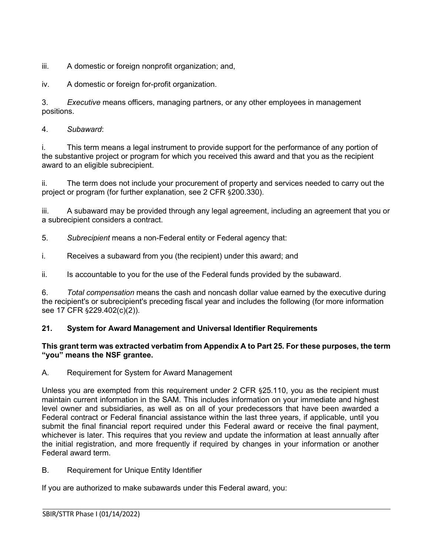iii. A domestic or foreign nonprofit organization; and,

iv. A domestic or foreign for-profit organization.

3. *Executive* means officers, managing partners, or any other employees in management positions.

4. *Subaward*:

i. This term means a legal instrument to provide support for the performance of any portion of the substantive project or program for which you received this award and that you as the recipient award to an eligible subrecipient.

ii. The term does not include your procurement of property and services needed to carry out the project or program (for further explanation, see 2 CFR §200.330).

iii. A subaward may be provided through any legal agreement, including an agreement that you or a subrecipient considers a contract.

5. *Subrecipient* means a non-Federal entity or Federal agency that:

i. Receives a subaward from you (the recipient) under this award; and

ii. Is accountable to you for the use of the Federal funds provided by the subaward.

6. *Total compensation* means the cash and noncash dollar value earned by the executive during the recipient's or subrecipient's preceding fiscal year and includes the following (for more information see 17 CFR §229.402(c)(2)).

# <span id="page-14-0"></span>**21. System for Award Management and Universal Identifier Requirements**

### **This grant term was extracted verbatim from Appendix A to Part 25. For these purposes, the term "you" means the NSF grantee.**

A. Requirement for System for Award Management

Unless you are exempted from this requirement under 2 CFR §25.110, you as the recipient must maintain current information in the SAM. This includes information on your immediate and highest level owner and subsidiaries, as well as on all of your predecessors that have been awarded a Federal contract or Federal financial assistance within the last three years, if applicable, until you submit the final financial report required under this Federal award or receive the final payment, whichever is later. This requires that you review and update the information at least annually after the initial registration, and more frequently if required by changes in your information or another Federal award term.

B. Requirement for Unique Entity Identifier

If you are authorized to make subawards under this Federal award, you: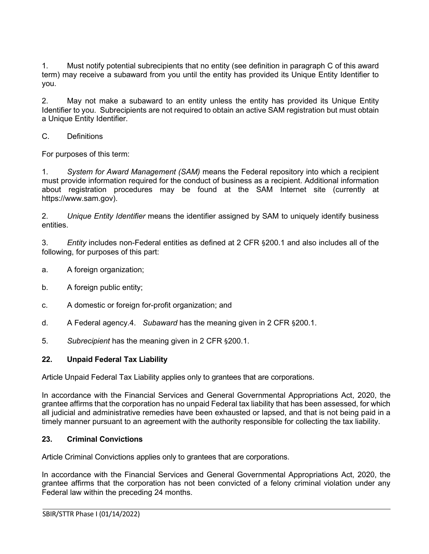1. Must notify potential subrecipients that no entity (see definition in paragraph C of this award term) may receive a subaward from you until the entity has provided its Unique Entity Identifier to you.

2. May not make a subaward to an entity unless the entity has provided its Unique Entity Identifier to you. Subrecipients are not required to obtain an active SAM registration but must obtain a Unique Entity Identifier.

C. Definitions

For purposes of this term:

1. *System for Award Management (SAM)* means the Federal repository into which a recipient must provide information required for the conduct of business as a recipient. Additional information about registration procedures may be found at the SAM Internet site (currently at https://www.sam.gov).

2. *Unique Entity Identifier* means the identifier assigned by SAM to uniquely identify business entities.

3. *Entity* includes non-Federal entities as defined at 2 CFR §200.1 and also includes all of the following, for purposes of this part:

- a. A foreign organization;
- b. A foreign public entity;
- c. A domestic or foreign for-profit organization; and
- d. A Federal agency.4. *Subaward* has the meaning given in 2 CFR §200.1.
- 5. *Subrecipient* has the meaning given in 2 CFR §200.1.

## <span id="page-15-0"></span>**22. Unpaid Federal Tax Liability**

Article Unpaid Federal Tax Liability applies only to grantees that are corporations.

In accordance with the Financial Services and General Governmental Appropriations Act, 2020, the grantee affirms that the corporation has no unpaid Federal tax liability that has been assessed, for which all judicial and administrative remedies have been exhausted or lapsed, and that is not being paid in a timely manner pursuant to an agreement with the authority responsible for collecting the tax liability.

## <span id="page-15-1"></span>**23. Criminal Convictions**

Article Criminal Convictions applies only to grantees that are corporations.

In accordance with the Financial Services and General Governmental Appropriations Act, 2020, the grantee affirms that the corporation has not been convicted of a felony criminal violation under any Federal law within the preceding 24 months.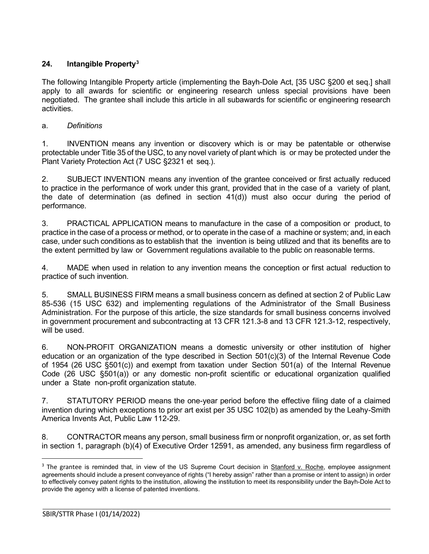# <span id="page-16-0"></span>**24. Intangible Property[3](#page-16-1)**

The following Intangible Property article (implementing the Bayh-Dole Act, [35 USC §200 et seq.] shall apply to all awards for scientific or engineering research unless special provisions have been negotiated. The grantee shall include this article in all subawards for scientific or engineering research activities.

# a. *Definitions*

1. INVENTION means any invention or discovery which is or may be patentable or otherwise protectable under Title 35 of the USC, to any novel variety of plant which is or may be protected under the Plant Variety Protection Act [\(7 USC](http://www.access.gpo.gov/uscode/title7/chapter57_.html) §2321 et [seq.](http://www.access.gpo.gov/uscode/title7/chapter57_.html)).

2. SUBJECT INVENTION means any invention of the grantee conceived or first actually reduced to practice in the performance of work under this grant, provided that in the case of a variety of plant, the date of determination (as defined in section 41(d)) must also occur during the period of performance.

3. PRACTICAL APPLICATION means to manufacture in the case of a composition or product, to practice in the case of a process or method, or to operate in the case of a machine or system; and, in each case, under such conditions as to establish that the invention is being utilized and that its benefits are to the extent permitted by law or Government regulations available to the public on reasonable terms.

4. MADE when used in relation to any invention means the conception or first actual reduction to practice of such invention.

5. SMALL BUSINESS FIRM means a small business concern as defined at section 2 of Public Law 85-536 (15 USC 632) and implementing regulations of the Administrator of the Small Business Administration. For the purpose of this article, the size standards for small business concerns involved in government procurement and subcontracting at 13 CFR 121.3-8 and 13 CFR 121.3-12, respectively, will be used.

6. NON-PROFIT ORGANIZATION means a domestic university or other institution of higher education or an organization of the type described in Section 501(c)(3) of the Internal Revenue Code of 1954 (26 USC [§501\(c\)\)](http://frwebgate.access.gpo.gov/cgi-bin/getdoc.cgi?dbname=browse_usc&amp%3Bdocid=Cite%3A%2B26USC501) and exempt from taxation under Section 501(a) of the Internal Revenue Code (26 USC [§501\(a\)\)](http://frwebgate.access.gpo.gov/cgi-bin/getdoc.cgi?dbname=browse_usc&amp%3Bdocid=Cite%3A%2B26USC501) or any domestic non-profit scientific or educational organization qualified under a State non-profit organization statute.

7. STATUTORY PERIOD means the one-year period before the effective filing date of a claimed invention during which exceptions to prior art exist per 35 USC 102(b) as amended by the Leahy-Smith America Invents Act, Public Law 112-29.

8. CONTRACTOR means any person, small business firm or nonprofit organization, or, as set forth in section 1, paragraph (b)(4) of Executive Order 12591, as amended, any business firm regardless of

<span id="page-16-1"></span><sup>&</sup>lt;sup>3</sup> The grantee is reminded that, in view of the US Supreme Court decision in **Stanford v. Roche**, employee assignment agreements should include a present conveyance of rights ("I hereby assign" rather than a promise or intent to assign) in order to effectively convey patent rights to the institution, allowing the institution to meet its responsibility under the Bayh-Dole Act to provide the agency with a license of patented inventions.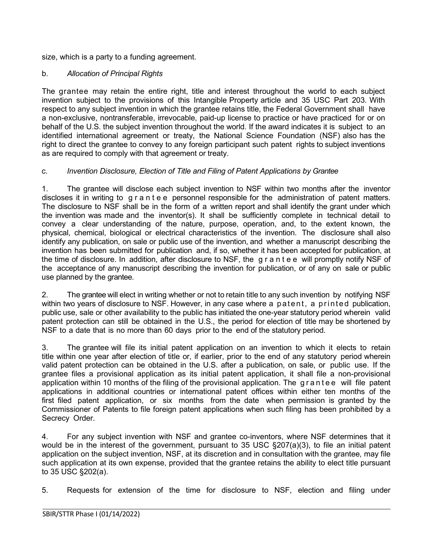size, which is a party to a funding agreement.

### b. *Allocation of Principal Rights*

The grantee may retain the entire right, title and interest throughout the world to each subject invention subject to the provisions of this Intangible Property article and 35 [USC](http://frwebgate.access.gpo.gov/cgi-bin/getdoc.cgi?dbname=browse_usc&docid=Cite%3A%2B35USC203) Part 203. With respect to any subject invention in which the grantee retains title, the Federal Government shall have a non-exclusive, nontransferable, irrevocable, paid-up license to practice or have practiced for or on behalf of the U.S. the subject invention throughout the world. If the award indicates it is subject to an identified international agreement or treaty, the National Science Foundation (NSF) also has the right to direct the grantee to convey to any foreign participant such patent rights to subject inventions as are required to comply with that agreement or treaty.

## c. *Invention Disclosure, Election of Title and Filing of Patent Applications by Grantee*

1. The grantee will disclose each subject invention to NSF within two months after the inventor discloses it in writing to grantee personnel responsible for the administration of patent matters. The disclosure to NSF shall be in the form of a written report and shall identify the grant under which the invention was made and the inventor(s). It shall be sufficiently complete in technical detail to convey a clear understanding of the nature, purpose, operation, and, to the extent known, the physical, chemical, biological or electrical characteristics of the invention. The disclosure shall also identify any publication, on sale or public use of the invention, and whether a manuscript describing the invention has been submitted for publication and, if so, whether it has been accepted for publication, at the time of disclosure. In addition, after disclosure to NSF, the grantee will promptly notify NSF of the acceptance of any manuscript describing the invention for publication, or of any on sale or public use planned by the grantee.

2. The grantee will elect in writing whether or not to retain title to any such invention by notifying NSF within two years of disclosure to NSF. However, in any case where a patent, a printed publication, public use, sale or other availability to the public has initiated the one-year statutory period wherein valid patent protection can still be obtained in the U.S., the period for election of title may be shortened by NSF to a date that is no more than 60 days prior to the end of the statutory period.

3. The grantee will file its initial patent application on an invention to which it elects to retain title within one year after election of title or, if earlier, prior to the end of any statutory period wherein valid patent protection can be obtained in the U.S. after a publication, on sale, or public use. If the grantee files a provisional application as its initial patent application, it shall file a non-provisional application within 10 months of the filing of the provisional application. The grantee will file patent applications in additional countries or international patent offices within either ten months of the first filed patent application, or six months from the date when permission is granted by the Commissioner of Patents to file foreign patent applications when such filing has been prohibited by a Secrecy Order.

4. For any subject invention with NSF and grantee co-inventors, where NSF determines that it would be in the interest of the government, pursuant to 35 USC §207(a)(3), to file an initial patent application on the subject invention, NSF, at its discretion and in consultation with the grantee*,* may file such application at its own expense, provided that the grantee retains the ability to elect title pursuant to 35 USC §202(a).

5. Requests for extension of the time for disclosure to NSF, election and filing under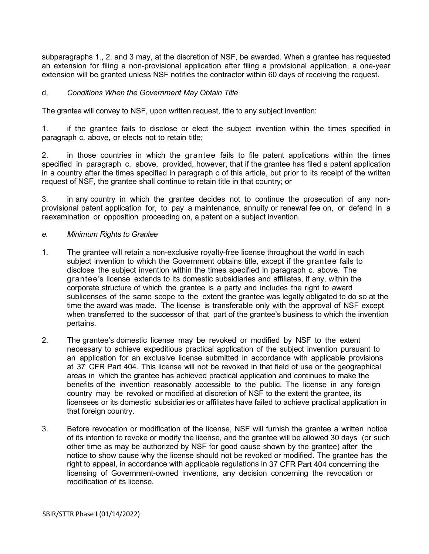subparagraphs 1., 2. and 3 may, at the discretion of NSF, be awarded. When a grantee has requested an extension for filing a non-provisional application after filing a provisional application, a one-year extension will be granted unless NSF notifies the contractor within 60 days of receiving the request.

### d. *Conditions When the Government May Obtain Title*

The grantee will convey to NSF, upon written request, title to any subject invention:

1. if the grantee fails to disclose or elect the subject invention within the times specified in paragraph c. above, or elects not to retain title;

2. in those countries in which the grantee fails to file patent applications within the times specified in paragraph c. above, provided, however, that if the grantee has filed a patent application in a country after the times specified in paragraph c of this article, but prior to its receipt of the written request of NSF*,* the grantee shall continue to retain title in that country; or

3. in any country in which the grantee decides not to continue the prosecution of any nonprovisional patent application for, to pay a maintenance, annuity or renewal fee on, or defend in a reexamination or opposition proceeding on, a patent on a subject invention.

#### *e. Minimum Rights to Grantee*

- 1. The grantee will retain a non-exclusive royalty-free license throughout the world in each subject invention to which the Government obtains title, except if the grantee fails to disclose the subject invention within the times specified in paragraph c. above. The grantee's license extends to its domestic subsidiaries and affiliates, if any, within the corporate structure of which the grantee is a party and includes the right to award sublicenses of the same scope to the extent the grantee was legally obligated to do so at the time the award was made. The license is transferable only with the approval of NSF except when transferred to the successor of that part of the grantee's business to which the invention pertains.
- 2. The grantee's domestic license may be revoked or modified by NSF to the extent necessary to achieve expeditious practical application of the subject invention pursuant to an application for an exclusive license submitted in accordance with applicable provisions at [37](http://www.access.gpo.gov/nara/cfr/waisidx_06/37cfr404_06.html) [CFR](http://www.access.gpo.gov/nara/cfr/waisidx_06/37cfr404_06.html) Part 404. This license will not be revoked in that field of use or the geographical areas in which the grantee has achieved practical application and continues to make the benefits of the invention reasonably accessible to the public. The license in any foreign country may be revoked or modified at discretion of NSF to the extent the grantee, its licensees or its domestic subsidiaries or affiliates have failed to achieve practical application in that foreign country.
- 3. Before revocation or modification of the license, NSF will furnish the grantee a written notice of its intention to revoke or modify the license, and the grantee will be allowed 30 days (or such other time as may be authorized by NSF for good cause shown by the grantee) after the notice to show cause why the license should not be revoked or modified. The grantee has the right to appeal, in accordance with applicable regulations in 37 [CFR](http://www.access.gpo.gov/nara/cfr/waisidx_06/37cfr404_06.html) Part 404 concerning the licensing of Government-owned inventions, any decision concerning the revocation or modification of its license.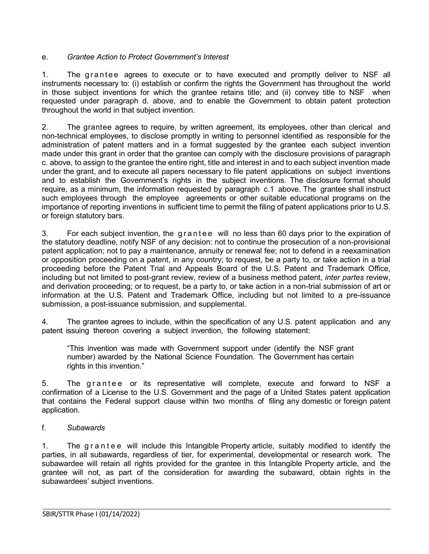## e. *Grantee Action to Protect Government's Interest*

1. The grantee agrees to execute or to have executed and promptly deliver to NSF all instruments necessary to: (i) establish or confirm the rights the Government has throughout the world in those subject inventions for which the grantee retains title; and (ii) convey title to NSF when requested under paragraph d. above, and to enable the Government to obtain patent protection throughout the world in that subject invention.

2. The grantee agrees to require, by written agreement, its employees, other than clerical and non-technical employees, to disclose promptly in writing to personnel identified as responsible for the administration of patent matters and in a format suggested by the grantee each subject invention made under this grant in order that the grantee can comply with the disclosure provisions of paragraph c. above, to assign to the grantee the entire right, title and interest in and to each subject invention made under the grant, and to execute all papers necessary to file patent applications on subject inventions and to establish the Government's rights in the subject inventions. The disclosure format should require, as a minimum, the information requested by paragraph c.1 above. The grantee shall instruct such employees through the employee agreements or other suitable educational programs on the importance of reporting inventions in sufficient time to permit the filing of patent applications prior to U.S. or foreign statutory bars.

3. For each subject invention, the grantee will no less than 60 days prior to the expiration of the statutory deadline, notify NSF of any decision: not to continue the prosecution of a non-provisional patent application; not to pay a maintenance, annuity or renewal fee; not to defend in a reexamination or opposition proceeding on a patent, in any country; to request, be a party to, or take action in a trial proceeding before the Patent Trial and Appeals Board of the U.S. Patent and Trademark Office, including but not limited to post-grant review, review of a business method patent, *inter partes* review, and derivation proceeding; or to request, be a party to, or take action in a non-trial submission of art or information at the U.S. Patent and Trademark Office, including but not limited to a pre-issuance submission, a post-issuance submission, and supplemental.

4. The grantee agrees to include, within the specification of any U.S. patent application and any patent issuing thereon covering a subject invention, the following statement:

"This invention was made with Government support under (identify the NSF grant number) awarded by the National Science Foundation. The Government has certain rights in this invention."

5. The grantee or its representative will complete, execute and forward to NSF a confirmation of a License to the U.S. Government and the page of a United States patent application that contains the Federal support clause within two months of filing any domestic or foreign patent application.

### f. *Subawards*

1. The grantee will include this Intangible Property article, suitably modified to identify the parties, in all subawards, regardless of tier, for experimental, developmental or research work. The subawardee will retain all rights provided for the grantee in this Intangible Property article, and the grantee will not, as part of the consideration for awarding the subaward, obtain rights in the subawardees' subject inventions.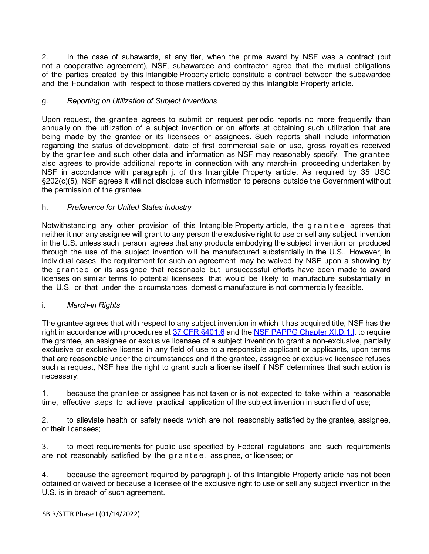2. In the case of subawards, at any tier, when the prime award by NSF was a contract (but not a cooperative agreement), NSF, subawardee and contractor agree that the mutual obligations of the parties created by this Intangible Property article constitute a contract between the subawardee and the Foundation with respect to those matters covered by this Intangible Property article.

### g. *Reporting on Utilization of Subject Inventions*

Upon request, the grantee agrees to submit on request periodic reports no more frequently than annually on the utilization of a subject invention or on efforts at obtaining such utilization that are being made by the grantee or its licensees or assignees. Such reports shall include information regarding the status of development, date of first commercial sale or use, gross royalties received by the grantee and such other data and information as NSF may reasonably specify. The grantee also agrees to provide additional reports in connection with any march-in proceeding undertaken by NSF in accordance with paragraph j. of this Intangible Property article. As required by 35 [USC](http://frwebgate.access.gpo.gov/cgi-bin/getdoc.cgi?dbname=browse_usc&docid=Cite%3A%2B35USC202) [§202\(c\)\(5\),](http://frwebgate.access.gpo.gov/cgi-bin/getdoc.cgi?dbname=browse_usc&docid=Cite%3A%2B35USC202) NSF agrees it will not disclose such information to persons outside the Government without the permission of the grantee.

### h. *Preference for United States Industry*

Notwithstanding any other provision of this Intangible Property article, the grantee agrees that neither it nor any assignee will grant to any person the exclusive right to use or sell any subject invention in the U.S. unless such person agrees that any products embodying the subject invention or produced through the use of the subject invention will be manufactured substantially in the U.S.. However, in individual cases, the requirement for such an agreement may be waived by NSF upon a showing by the grantee or its assignee that reasonable but unsuccessful efforts have been made to award licenses on similar terms to potential licensees that would be likely to manufacture substantially in the U.S. or that under the circumstances domestic manufacture is not commercially feasible.

### i. *March-in Rights*

The grantee agrees that with respect to any subject invention in which it has acquired title, NSF has the right in accordance with procedures at [37 CFR §401.6](http://www.access.gpo.gov/nara/cfr/waisidx_06/37cfr401_06.html) and the [NSF PAPPG Chapter](https://www.nsf.gov/pubs/policydocs/pappg22_1/pappg_11.jsp#XID1) XI.D.1.I. to require the grantee, an assignee or exclusive licensee of a subject invention to grant a non-exclusive, partially exclusive or exclusive license in any field of use to a responsible applicant or applicants, upon terms that are reasonable under the circumstances and if the grantee, assignee or exclusive licensee refuses such a request, NSF has the right to grant such a license itself if NSF determines that such action is necessary:

1. because the grantee or assignee has not taken or is not expected to take within a reasonable time, effective steps to achieve practical application of the subject invention in such field of use;

2. to alleviate health or safety needs which are not reasonably satisfied by the grantee, assignee, or their licensees;

3. to meet requirements for public use specified by Federal regulations and such requirements are not reasonably satisfied by the grantee , assignee, or licensee; or

4. because the agreement required by paragraph j. of this Intangible Property article has not been obtained or waived or because a licensee of the exclusive right to use or sell any subject invention in the U.S. is in breach of such agreement.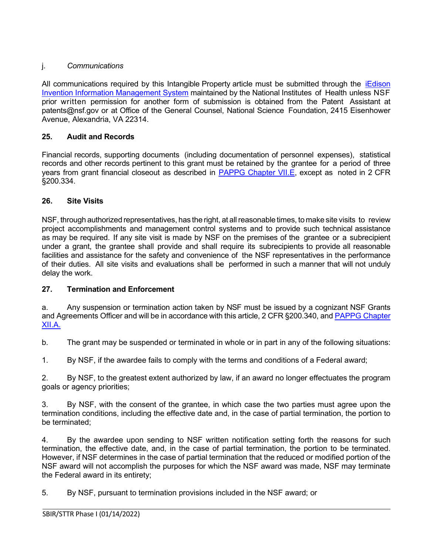# j. *Communications*

All communications required by this Intangible Property article must be submitted through the iEdison [Invention Information Management System](https://public.era.nih.gov/iedison/public/login.do?TYPE=33554433&REALMOID=06-dc4d00e8-1464-45e1-937f-0525407c30fd&GUID&SMAUTHREASON=0&METHOD=GET&SMAGENTNAME=-SM-938PYmoLVb4VrDeXo04LZUDVDvc%2b3899ByInEAjuSUvWNIGfB2zRpWiCivYGCogG&TARGET=-SM-http%3a%2f%2fpublic%2eera%2enih%2egov%2fiedison) maintained by the National Institutes of Health unless NSF prior written permission for another form of submission is obtained from the Patent Assistant at [patents@nsf.gov](mailto:patents@nsf.gov) or at Office of the General Counsel, National Science Foundation, 2415 Eisenhower Avenue, Alexandria, VA 22314.

# <span id="page-21-0"></span>**25. Audit and Records**

Financial records, supporting documents (including documentation of personnel expenses), statistical records and other records pertinent to this grant must be retained by the grantee for a period of three years from grant financial closeout as described in [PAPPG Chapter VII.E,](https://www.nsf.gov/pubs/policydocs/pappg22_1/pappg_7.jsp#VIIE) except as noted in 2 CFR §200.334.

## <span id="page-21-1"></span>**26. Site Visits**

NSF, through authorized representatives, has the right, at allreasonable times, to make site visits to review project accomplishments and management control systems and to provide such technical assistance as may be required. If any site visit is made by NSF on the premises of the grantee or a subrecipient under a grant, the grantee shall provide and shall require its subrecipients to provide all reasonable facilities and assistance for the safety and convenience of the NSF representatives in the performance of their duties. All site visits and evaluations shall be performed in such a manner that will not unduly delay the work.

## <span id="page-21-2"></span>**27. Termination and Enforcement**

a. Any suspension or termination action taken by NSF must be issued by a cognizant NSF Grants and Agreements Officer and will be in accordance with this article, 2 CFR §200.340, and [PAPPG Chapter](https://www.nsf.gov/pubs/policydocs/pappg22_1/pappg_12.jsp#XIIA)  [XII.A.](https://www.nsf.gov/pubs/policydocs/pappg22_1/pappg_12.jsp#XIIA)

b. The grant may be suspended or terminated in whole or in part in any of the following situations:

1. By NSF, if the awardee fails to comply with the terms and conditions of a Federal award;

2. By NSF, to the greatest extent authorized by law, if an award no longer effectuates the program goals or agency priorities;

3. By NSF, with the consent of the grantee, in which case the two parties must agree upon the termination conditions, including the effective date and, in the case of partial termination, the portion to be terminated;

4. By the awardee upon sending to NSF written notification setting forth the reasons for such termination, the effective date, and, in the case of partial termination, the portion to be terminated. However, if NSF determines in the case of partial termination that the reduced or modified portion of the NSF award will not accomplish the purposes for which the NSF award was made, NSF may terminate the Federal award in its entirety;

5. By NSF, pursuant to termination provisions included in the NSF award; or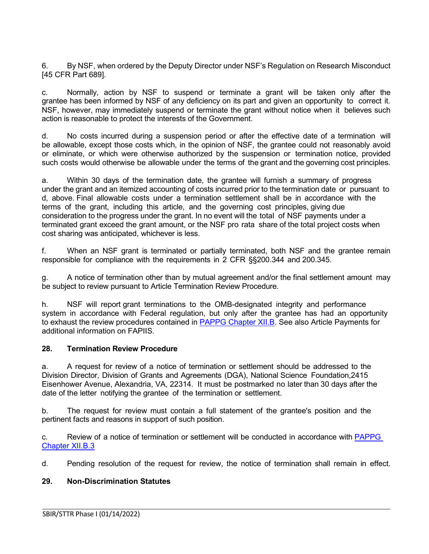6. By NSF, when ordered by the Deputy Director under NSF's Regulation on Research Misconduct [45 CFR Part 689].

c. Normally, action by NSF to suspend or terminate a grant will be taken only after the grantee has been informed by NSF of any deficiency on its part and given an opportunity to correct it. NSF, however, may immediately suspend or terminate the grant without notice when it believes such action is reasonable to protect the interests of the Government.

d. No costs incurred during a suspension period or after the effective date of a termination will be allowable, except those costs which, in the opinion of NSF, the grantee could not reasonably avoid or eliminate, or which were otherwise authorized by the suspension or termination notice, provided such costs would otherwise be allowable under the terms of the grant and the governing cost principles.

a. Within 30 days of the termination date, the grantee will furnish a summary of progress under the grant and an itemized accounting of costs incurred prior to the termination date or pursuant to d, above. Final allowable costs under a termination settlement shall be in accordance with the terms of the grant, including this article, and the governing cost principles, giving due consideration to the progress under the grant. In no event will the total of NSF payments under a terminated grant exceed the grant amount, or the NSF pro rata share of the total project costs when cost sharing was anticipated, whichever is less.

f. When an NSF grant is terminated or partially terminated, both NSF and the grantee remain responsible for compliance with the requirements in 2 CFR §§200.344 and 200.345.

g. A notice of termination other than by mutual agreement and/or the final settlement amount may be subject to review pursuant to Article Termination Review Procedure.

h. NSF will report grant terminations to the OMB-designated integrity and performance system in accordance with Federal regulation, but only after the grantee has had an opportunity to exhaust the review procedures contained in [PAPPG Chapter XII.B.](https://www.nsf.gov/pubs/policydocs/pappg22_1/pappg_12.jsp#XIIB) See also Article Payments for additional information on FAPIIS.

## <span id="page-22-0"></span>**28. Termination Review Procedure**

a. A request for review of a notice of termination or settlement should be addressed to the Division Director, Division of Grants and Agreements (DGA), National Science Foundation,2415 Eisenhower Avenue, Alexandria, VA, 22314. It must be postmarked no later than 30 days after the date of the letter notifying the grantee of the termination or settlement.

b. The request for review must contain a full statement of the grantee's position and the pertinent facts and reasons in support of such position.

c. Review of a notice of termination or settlement will be conducted in accordance with [PAPPG](https://www.nsf.gov/pubs/policydocs/pappg22_1/pappg_12.jsp#XIIB)  [Chapter XII.B.3](https://www.nsf.gov/pubs/policydocs/pappg22_1/pappg_12.jsp#XIIB)

d. Pending resolution of the request for review, the notice of termination shall remain in effect.

## <span id="page-22-1"></span>**29. Non-Discrimination Statutes**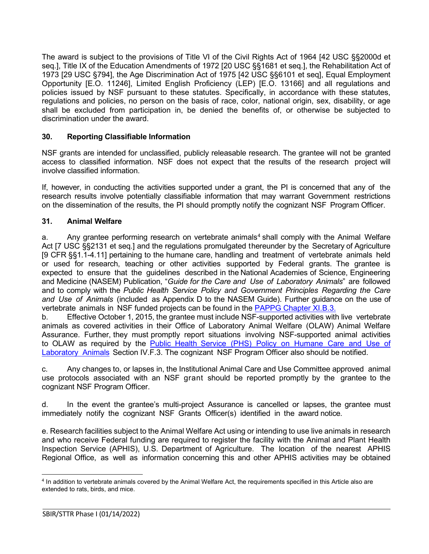The award is subject to the provisions of Title VI of the Civil Rights Act of 1964 [42 USC §§2000d et seq.], Title IX of the Education Amendments of 1972 [20 USC §§1681 et seq.], the Rehabilitation Act of 1973 [29 USC §794], the Age Discrimination Act of 1975 [42 USC §§6101 et seq], Equal Employment Opportunity [E.O. 11246], Limited English Proficiency (LEP) [E.O. 13166] and all regulations and policies issued by NSF pursuant to these statutes. Specifically, in accordance with these statutes, regulations and policies, no person on the basis of race, color, national origin, sex, disability, or age shall be excluded from participation in, be denied the benefits of, or otherwise be subjected to discrimination under the award.

### <span id="page-23-0"></span>**30. Reporting Classifiable Information**

NSF grants are intended for unclassified, publicly releasable research. The grantee will not be granted access to classified information. NSF does not expect that the results of the research project will involve classified information.

If, however, in conducting the activities supported under a grant, the PI is concerned that any of the research results involve potentially classifiable information that may warrant Government restrictions on the dissemination of the results, the PI should promptly notify the cognizant NSF Program Officer.

### <span id="page-23-1"></span>**31. Animal Welfare**

a. Any grantee performing research on vertebrate animals<sup>[4](#page-23-2)</sup> shall comply with the Animal Welfare Act [7 USC [§§2131](http://www.access.gpo.gov/uscode/title7/chapter54_.html) et seq.] and the regulations promulgated thereunder by the Secretary of Agriculture [9 CFR [§§1.1-4.11\]](http://www.access.gpo.gov/nara/cfr/waisidx_07/9cfrv1_07.html) pertaining to the humane care, handling and treatment of vertebrate animals held or used for research, teaching or other activities supported by Federal grants. The grantee is expected to ensure that the guidelines described in the National Academies of Science, Engineering and Medicine (NASEM) Publication, "*[Guide for](http://www.nap.edu/readingroom/books/labrats/) the Care and Use of [Laboratory](http://www.nap.edu/readingroom/books/labrats/) Animals*" are followed and to comply with the *Public Health Service Policy and Government Principles Regarding the Care and Use of Animals* (included as Appendix D to the NASEM Guide). Further guidance on the use of vertebrate animals in NSF funded projects can be found in the [PAPPG Chapter XI.B.3.](https://www.nsf.gov/pubs/policydocs/pappg22_1/pappg_11.jsp#XIB3)

b. Effective October 1, 2015, the grantee must include NSF-supported activities with live vertebrate animals as covered activities in their Office of Laboratory Animal Welfare (OLAW) Animal Welfare Assurance. Further, they must promptly report situations involving NSF-supported animal activities to OLAW as required by the Public Health Service (PHS) Policy on [Humane](https://olaw.nih.gov/policies-laws/phs-policy.htm) Care and Use of [Laboratory](https://olaw.nih.gov/policies-laws/phs-policy.htm) Animals Section IV.F.3. The cognizant NSF Program Officer also should be notified.

c. Any changes to, or lapses in, the Institutional Animal Care and Use Committee approved animal use protocols associated with an NSF grant should be reported promptly by the grantee to the cognizant NSF Program Officer.

d. In the event the grantee's multi-project Assurance is cancelled or lapses, the grantee must immediately notify the cognizant NSF Grants Officer(s) identified in the award notice.

e. Research facilities subject to the Animal Welfare Act using or intending to use live animals in research and who receive Federal funding are required to register the facility with the Animal and Plant Health Inspection Service (APHIS), U.S. Department of Agriculture. The location of the nearest APHIS Regional Office, as well as information concerning this and other APHIS activities may be obtained

<span id="page-23-2"></span><sup>4</sup> In addition to vertebrate animals covered by the Animal Welfare Act, the requirements specified in this Article also are extended to rats, birds, and mice.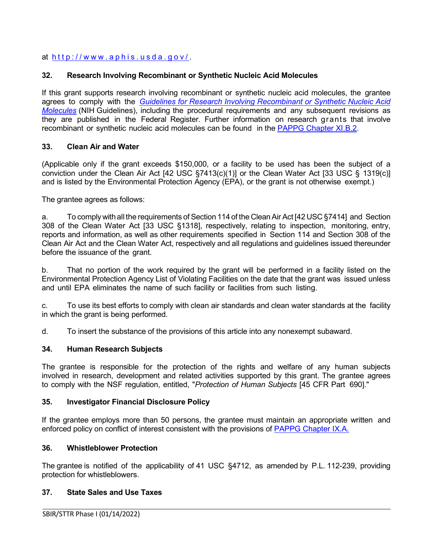# at <http://www.aphis.usda.gov/> .

## <span id="page-24-0"></span>**32. Research Involving Recombinant or Synthetic Nucleic Acid Molecules**

If this grant supports research involving recombinant or synthetic nucleic acid molecules, the grantee agrees to comply with the *[Guidelines for Research Involving Recombinant or Synthetic Nucleic Acid](http://osp.od.nih.gov/office-biotechnology-activities/biosafety/nih-guidelines)  [Molecules](http://osp.od.nih.gov/office-biotechnology-activities/biosafety/nih-guidelines)* (NIH Guidelines), including the procedural requirements and any subsequent revisions as they are published in the Federal Register. Further information on research grants that involve recombinant or synthetic nucleic acid molecules can be found in the [PAPPG Chapter XI.B.2.](https://www.nsf.gov/pubs/policydocs/pappg22_1/pappg_11.jsp#XIB2)

### <span id="page-24-1"></span>**33. Clean Air and Water**

(Applicable only if the grant exceeds \$150,000, or a facility to be used has been the subject of a conviction under the Clean Air Act [42 USC [§7413\(c\)\(1\)\]](http://frwebgate.access.gpo.gov/cgi-bin/getdoc.cgi?dbname=browse_usc&amp%3Bdocid=Cite%3A%2B42USC7413) or the Clean Water Act [33 [USC](http://frwebgate.access.gpo.gov/cgi-bin/getdoc.cgi?dbname=browse_usc&amp%3Bdocid=Cite%3A%2B33USC1319) § [1319\(c\)](http://frwebgate.access.gpo.gov/cgi-bin/getdoc.cgi?dbname=browse_usc&amp%3Bdocid=Cite%3A%2B33USC1319)] and is listed by the Environmental Protection Agency (EPA), or the grant is not otherwise exempt.)

The grantee agrees as follows:

a. To comply withall the requirements of Section 114 of the CleanAir Act [42 USC [§7414\]](http://frwebgate.access.gpo.gov/cgi-bin/getdoc.cgi?dbname=browse_usc&amp%3Bdocid=Cite%3A%2B42USC7414) and Section 308 of the Clean Water Act [33 USC [§1318\]](http://frwebgate.access.gpo.gov/cgi-bin/getdoc.cgi?dbname=browse_usc&amp%3Bdocid=Cite%3A%2B33USC1318), respectively, relating to inspection, monitoring, entry, reports and information, as well as other requirements specified in Section 114 and Section 308 of the Clean Air Act and the Clean Water Act, respectively and all regulations and guidelines issued thereunder before the issuance of the grant.

b. That no portion of the work required by the grant will be performed in a facility listed on the Environmental Protection Agency List of Violating Facilities on the date that the grant was issued unless and until EPA eliminates the name of such facility or facilities from such listing.

c. To use its best efforts to comply with clean air standards and clean water standards at the facility in which the grant is being performed.

d. To insert the substance of the provisions of this article into any nonexempt subaward.

### <span id="page-24-2"></span>**34. Human Research Subjects**

The grantee is responsible for the protection of the rights and welfare of any human subjects involved in research, development and related activities supported by this grant. The grantee agrees to comply with the NSF regulation, entitled, "*Protection of Human Subjects* [45 [CFR](http://www.access.gpo.gov/nara/cfr/waisidx_06/45cfr690_06.html) Part [690\].](http://www.access.gpo.gov/nara/cfr/waisidx_06/45cfr690_06.html)"

### <span id="page-24-3"></span>**35. Investigator Financial Disclosure Policy**

If the grantee employs more than 50 persons, the grantee must maintain an appropriate written and enforced policy on conflict of interest consistent with the provisions of [PAPPG Chapter IX.A.](https://www.nsf.gov/pubs/policydocs/pappg22_1/pappg_9.jsp#IXA)

## <span id="page-24-4"></span>**36. Whistleblower Protection**

The grantee is notified of the applicability of 41 USC §4712, as amended by P.L. 112-239, providing protection for whistleblowers.

## <span id="page-24-5"></span>**37. State Sales and Use Taxes**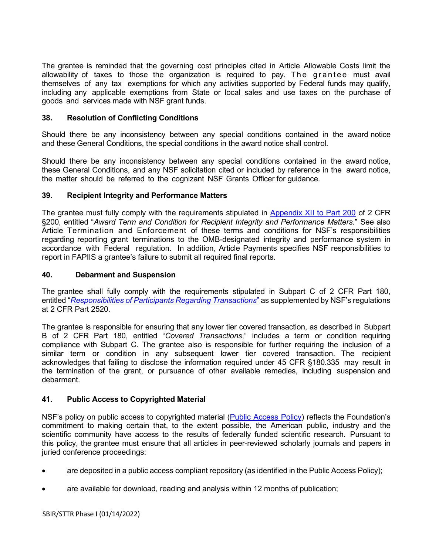The grantee is reminded that the governing cost principles cited in Article Allowable Costs limit the allowability of taxes to those the organization is required to pay. The grantee must avail themselves of any tax exemptions for which any activities supported by Federal funds may qualify, including any applicable exemptions from State or local sales and use taxes on the purchase of goods and services made with NSF grant funds.

### <span id="page-25-0"></span>**38. Resolution of Conflicting Conditions**

Should there be any inconsistency between any special conditions contained in the award notice and these General Conditions, the special conditions in the award notice shall control.

Should there be any inconsistency between any special conditions contained in the award notice, these General Conditions, and any NSF solicitation cited or included by reference in the award notice, the matter should be referred to the cognizant NSF Grants Officer for guidance.

### <span id="page-25-1"></span>**39. Recipient Integrity and Performance Matters**

The grantee must fully comply with the requirements stipulated in [Appendix XII to Part 200](https://www.govinfo.gov/app/details/CFR-2017-title2-vol1/CFR-2017-title2-vol1-part200-appXII) of 2 CFR §200, entitled "*Award Term and Condition for Recipient Integrity and Performance Matters*." See also Article Termination and Enforcement of these terms and conditions for NSF's responsibilities regarding reporting grant terminations to the OMB-designated integrity and performance system in accordance with Federal regulation. In addition, Article Payments specifies NSF responsibilities to report in FAPIIS a grantee's failure to submit all required final reports.

### <span id="page-25-2"></span>**40. Debarment and Suspension**

The grantee shall fully comply with the requirements stipulated in [Subpart](http://www.whitehouse.gov/omb/fedreg/2005/083105_debarment.pdf) C of 2 CFR Part 180, entitled "*[Responsibilities of Participants Regarding Transactions](https://www.govinfo.gov/content/pkg/CFR-2011-title2-vol1/pdf/CFR-2011-title2-vol1-part2520.pdf)*" as supplemented by NSF's regulations at 2 CFR Part 2520.

The grantee is responsible for ensuring that any lower tier covered transaction, as described in [Subpart](http://www.whitehouse.gov/omb/fedreg/2005/083105_debarment.pdf) B of 2 [CFR](http://www.whitehouse.gov/omb/fedreg/2005/083105_debarment.pdf) Part 180, entitled "*Covered Transactions*," includes a term or condition requiring compliance with Subpart C. The grantee also is responsible for further requiring the inclusion of a similar term or condition in any subsequent lower tier covered transaction. The recipient acknowledges that failing to disclose the information required under 45 CFR [§180.335](http://www.nsf.gov/oig/2_CFR_PART180.pdf) may result in the termination of the grant, or pursuance of other available remedies, including suspension and debarment.

## <span id="page-25-3"></span>**41. Public Access to Copyrighted Material**

NSF's policy on public access to copyrighted material [\(Public Access Policy\)](http://www.nsf.gov/news/special_reports/public_access/) reflects the Foundation's commitment to making certain that, to the extent possible, the American public, industry and the scientific community have access to the results of federally funded scientific research. Pursuant to this policy, the grantee must ensure that all articles in peer-reviewed scholarly journals and papers in juried conference proceedings:

• are deposited in a public access compliant repository (as identified in the Public Access Policy);

• are available for download, reading and analysis within 12 months of publication;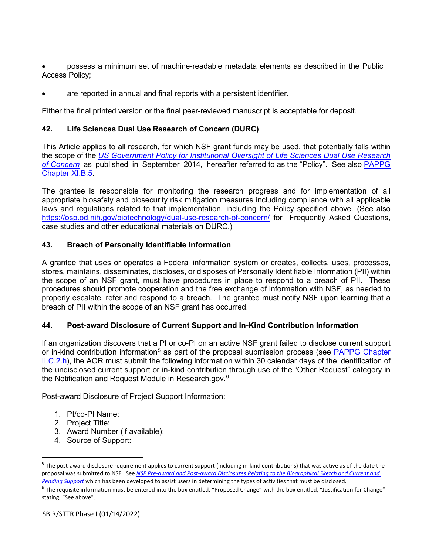• possess a minimum set of machine-readable metadata elements as described in the Public Access Policy;

are reported in annual and final reports with a persistent identifier.

Either the final printed version or the final peer-reviewed manuscript is acceptable for deposit.

### <span id="page-26-0"></span>**42. Life Sciences Dual Use Research of Concern (DURC)**

This Article applies to all research, for which NSF grant funds may be used, that potentially falls within the scope of the *[US Government Policy for Institutional Oversight of Life Sciences Dual Use Research](http://www.phe.gov/s3/dualuse/Pages/default.aspx)  [of Concern](http://www.phe.gov/s3/dualuse/Pages/default.aspx)* as published in September 2014, hereafter referred to as the "Policy". See also [PAPPG](https://www.nsf.gov/pubs/policydocs/pappg22_1/pappg_11.jsp#XIB5)  [Chapter XI.B.5.](https://www.nsf.gov/pubs/policydocs/pappg22_1/pappg_11.jsp#XIB5)

The grantee is responsible for monitoring the research progress and for implementation of all appropriate biosafety and biosecurity risk mitigation measures including compliance with all applicable laws and regulations related to that implementation, including the Policy specified above. (See also <https://osp.od.nih.gov/biotechnology/dual-use-research-of-concern/> for Frequently Asked Questions, case studies and other educational materials on DURC.)

### <span id="page-26-1"></span>**43. Breach of Personally Identifiable Information**

A grantee that uses or operates a Federal information system or creates, collects, uses, processes, stores, maintains, disseminates, discloses, or disposes of Personally Identifiable Information (PII) within the scope of an NSF grant, must have procedures in place to respond to a breach of PII. These procedures should promote cooperation and the free exchange of information with NSF, as needed to properly escalate, refer and respond to a breach. The grantee must notify NSF upon learning that a breach of PII within the scope of an NSF grant has occurred.

## <span id="page-26-2"></span>**44. Post-award Disclosure of Current Support and In-Kind Contribution Information**

If an organization discovers that a PI or co-PI on an active NSF grant failed to disclose current support or in-kind contribution information<sup>[5](#page-26-3)</sup> as part of the proposal submission process (see PAPPG Chapter [II.C.2.h\)](https://www.nsf.gov/pubs/policydocs/pappg22_1/pappg_2.jsp#IIC2h), the AOR must submit the following information within 30 calendar days of the identification of the undisclosed current support or in-kind contribution through use of the "Other Request" category in the Notification and Request Module in Research.gov. $^6$  $^6$ 

Post-award Disclosure of Project Support Information:

- 1. PI/co-PI Name:
- 2. Project Title:
- 3. Award Number (if available):
- 4. Source of Support:

<span id="page-26-3"></span> $5$  The post-award disclosure requirement applies to current support (including in-kind contributions) that was active as of the date the proposal was submitted to NSF. See *[NSF Pre-award and Post-award Disclosures Relating to the Biographical Sketch and Current and](https://www.nsf.gov/bfa/dias/policy/disclosures_table.jsp)  [Pending Support](https://www.nsf.gov/bfa/dias/policy/disclosures_table.jsp)* which has been developed to assist users in determining the types of activities that must be disclosed.

<span id="page-26-4"></span><sup>&</sup>lt;sup>6</sup> The requisite information must be entered into the box entitled, "Proposed Change" with the box entitled, "Justification for Change" stating, "See above".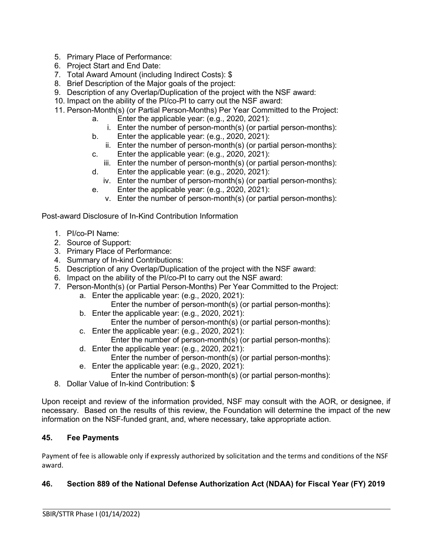- 5. Primary Place of Performance:
- 6. Project Start and End Date:
- 7. Total Award Amount (including Indirect Costs): \$
- 8. Brief Description of the Major goals of the project:
- 9. Description of any Overlap/Duplication of the project with the NSF award:
- 10. Impact on the ability of the PI/co-PI to carry out the NSF award:
- 11. Person-Month(s) (or Partial Person-Months) Per Year Committed to the Project:
	- a. Enter the applicable year: (e.g., 2020, 2021):
		- i. Enter the number of person-month(s) (or partial person-months):
	- b. Enter the applicable year: (e.g., 2020, 2021):
		- ii. Enter the number of person-month(s) (or partial person-months):
	- c. Enter the applicable year: (e.g., 2020, 2021):
		- iii. Enter the number of person-month(s) (or partial person-months):
	- d. Enter the applicable year: (e.g., 2020, 2021):
		- iv. Enter the number of person-month(s) (or partial person-months):
	- e. Enter the applicable year: (e.g., 2020, 2021):
		- v. Enter the number of person-month(s) (or partial person-months):

Post-award Disclosure of In-Kind Contribution Information

- 1. PI/co-PI Name:
- 2. Source of Support:
- 3. Primary Place of Performance:
- 4. Summary of In-kind Contributions:
- 5. Description of any Overlap/Duplication of the project with the NSF award:
- 6. Impact on the ability of the PI/co-PI to carry out the NSF award:
- 7. Person-Month(s) (or Partial Person-Months) Per Year Committed to the Project:
	- a. Enter the applicable year: (e.g., 2020, 2021):
		- Enter the number of person-month(s) (or partial person-months):
	- b. Enter the applicable year: (e.g., 2020, 2021): Enter the number of person-month(s) (or partial person-months):
	- c. Enter the applicable year: (e.g., 2020, 2021): Enter the number of person-month(s) (or partial person-months):
	- d. Enter the applicable year: (e.g., 2020, 2021):
	- Enter the number of person-month(s) (or partial person-months):
	- e. Enter the applicable year: (e.g., 2020, 2021): Enter the number of person-month(s) (or partial person-months):
- 8. Dollar Value of In-kind Contribution: \$

Upon receipt and review of the information provided, NSF may consult with the AOR, or designee, if necessary. Based on the results of this review, the Foundation will determine the impact of the new information on the NSF-funded grant, and, where necessary, take appropriate action.

# <span id="page-27-0"></span>**45. Fee Payments**

Payment of fee is allowable only if expressly authorized by solicitation and the terms and conditions of the NSF award.

# <span id="page-27-1"></span>**46. Section 889 of the National Defense Authorization Act (NDAA) for Fiscal Year (FY) 2019**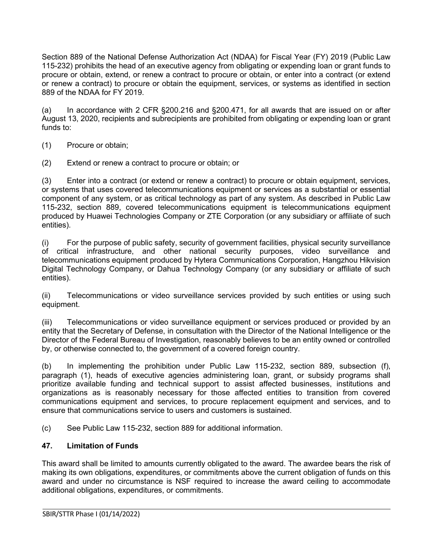Section 889 of the National Defense Authorization Act (NDAA) for Fiscal Year (FY) 2019 (Public Law 115-232) prohibits the head of an executive agency from obligating or expending loan or grant funds to procure or obtain, extend, or renew a contract to procure or obtain, or enter into a contract (or extend or renew a contract) to procure or obtain the equipment, services, or systems as identified in section 889 of the NDAA for FY 2019.

(a) In accordance with 2 CFR §200.216 and §200.471, for all awards that are issued on or after August 13, 2020, recipients and subrecipients are prohibited from obligating or expending loan or grant funds to:

- (1) Procure or obtain;
- (2) Extend or renew a contract to procure or obtain; or

(3) Enter into a contract (or extend or renew a contract) to procure or obtain equipment, services, or systems that uses covered telecommunications equipment or services as a substantial or essential component of any system, or as critical technology as part of any system. As described in Public Law 115-232, section 889, covered telecommunications equipment is telecommunications equipment produced by Huawei Technologies Company or ZTE Corporation (or any subsidiary or affiliate of such entities).

(i) For the purpose of public safety, security of government facilities, physical security surveillance of critical infrastructure, and other national security purposes, video surveillance and telecommunications equipment produced by Hytera Communications Corporation, Hangzhou Hikvision Digital Technology Company, or Dahua Technology Company (or any subsidiary or affiliate of such entities).

(ii) Telecommunications or video surveillance services provided by such entities or using such equipment.

(iii) Telecommunications or video surveillance equipment or services produced or provided by an entity that the Secretary of Defense, in consultation with the Director of the National Intelligence or the Director of the Federal Bureau of Investigation, reasonably believes to be an entity owned or controlled by, or otherwise connected to, the government of a covered foreign country.

(b) In implementing the prohibition under Public Law 115-232, section 889, subsection (f), paragraph (1), heads of executive agencies administering loan, grant, or subsidy programs shall prioritize available funding and technical support to assist affected businesses, institutions and organizations as is reasonably necessary for those affected entities to transition from covered communications equipment and services, to procure replacement equipment and services, and to ensure that communications service to users and customers is sustained.

(c) See Public Law 115-232, section 889 for additional information.

### <span id="page-28-0"></span>**47. Limitation of Funds**

This award shall be limited to amounts currently obligated to the award. The awardee bears the risk of making its own obligations, expenditures, or commitments above the current obligation of funds on this award and under no circumstance is NSF required to increase the award ceiling to accommodate additional obligations, expenditures, or commitments.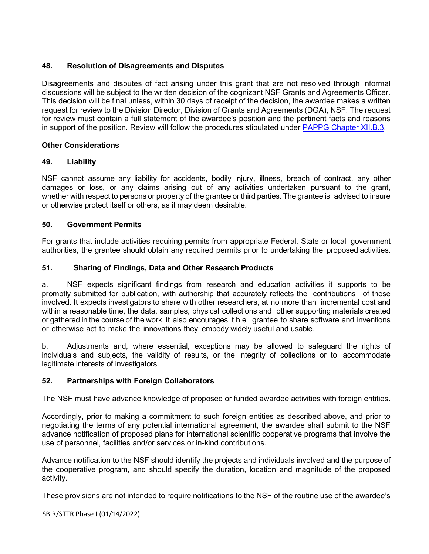# <span id="page-29-0"></span>**48. Resolution of Disagreements and Disputes**

Disagreements and disputes of fact arising under this grant that are not resolved through informal discussions will be subject to the written decision of the cognizant NSF Grants and Agreements Officer. This decision will be final unless, within 30 days of receipt of the decision, the awardee makes a written request for review to the Division Director, Division of Grants and Agreements (DGA), NSF. The request for review must contain a full statement of the awardee's position and the pertinent facts and reasons in support of the position. Review will follow the procedures stipulated under [PAPPG Chapter XII.B.3.](https://www.nsf.gov/pubs/policydocs/pappg22_1/pappg_12.jsp#XIIB)

# **Other Considerations**

# <span id="page-29-1"></span>**49. Liability**

NSF cannot assume any liability for accidents, bodily injury, illness, breach of contract, any other damages or loss, or any claims arising out of any activities undertaken pursuant to the grant, whether with respect to persons or property of the grantee or third parties. The grantee is advised to insure or otherwise protect itself or others, as it may deem desirable.

# <span id="page-29-2"></span>**50. Government Permits**

For grants that include activities requiring permits from appropriate Federal, State or local government authorities, the grantee should obtain any required permits prior to undertaking the proposed activities.

# <span id="page-29-3"></span>**51. Sharing of Findings, Data and Other Research Products**

a. NSF expects significant findings from research and education activities it supports to be promptly submitted for publication, with authorship that accurately reflects the contributions of those involved. It expects investigators to share with other researchers, at no more than incremental cost and within a reasonable time, the data, samples, physical collections and other supporting materials created or gathered in the course of the work. It also encourages the grantee to share software and inventions or otherwise act to make the innovations they embody widely useful and usable.

b. Adjustments and, where essential, exceptions may be allowed to safeguard the rights of individuals and subjects, the validity of results, or the integrity of collections or to accommodate legitimate interests of investigators.

## <span id="page-29-4"></span>**52. Partnerships with Foreign Collaborators**

The NSF must have advance knowledge of proposed or funded awardee activities with foreign entities.

Accordingly, prior to making a commitment to such foreign entities as described above, and prior to negotiating the terms of any potential international agreement, the awardee shall submit to the NSF advance notification of proposed plans for international scientific cooperative programs that involve the use of personnel, facilities and/or services or in-kind contributions.

Advance notification to the NSF should identify the projects and individuals involved and the purpose of the cooperative program, and should specify the duration, location and magnitude of the proposed activity.

These provisions are not intended to require notifications to the NSF of the routine use of the awardee's